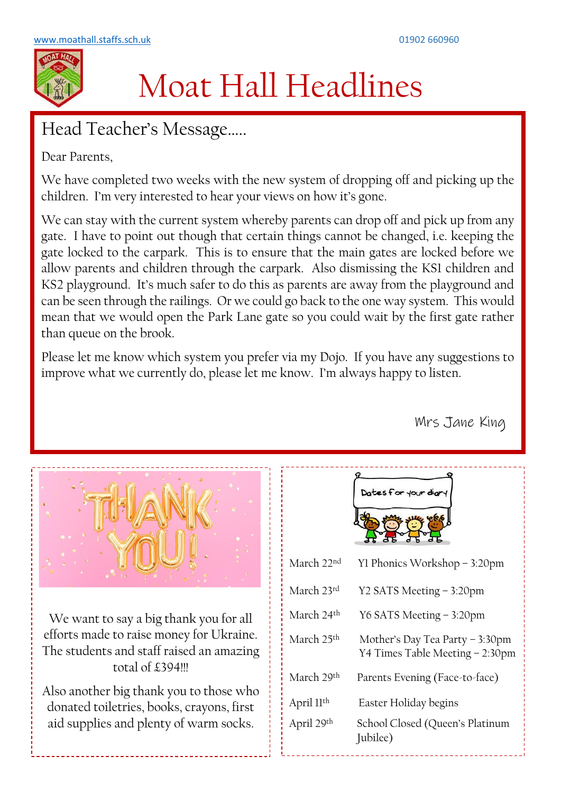

## Moat Hall Headlines

## Head Teacher's Message…..

Dear Parents,

We have completed two weeks with the new system of dropping off and picking up the children. I'm very interested to hear your views on how it's gone.

We can stay with the current system whereby parents can drop off and pick up from any gate. I have to point out though that certain things cannot be changed, i.e. keeping the gate locked to the carpark. This is to ensure that the main gates are locked before we allow parents and children through the carpark. Also dismissing the KS1 children and KS2 playground. It's much safer to do this as parents are away from the playground and can be seen through the railings. Or we could go back to the one way system. This would mean that we would open the Park Lane gate so you could wait by the first gate rather than queue on the brook.

Please let me know which system you prefer via my Dojo. If you have any suggestions to improve what we currently do, please let me know. I'm always happy to listen.

Mrs Jane King



We want to say a big thank you for all efforts made to raise money for Ukraine. The students and staff raised an amazing total of £394!!!

Also another big thank you to those who donated toiletries, books, crayons, first aid supplies and plenty of warm socks.

| Dates for your diar |  |  |
|---------------------|--|--|
|                     |  |  |
|                     |  |  |

| March 22 <sup>nd</sup> | Yl Phonics Workshop – 3:20pm                                       |
|------------------------|--------------------------------------------------------------------|
| March 23rd             | Y2 SATS Meeting – 3:20pm                                           |
| March 24 <sup>th</sup> | Y6 SATS Meeting - 3:20pm                                           |
| March 25 <sup>th</sup> | Mother's Day Tea Party – 3:30pm<br>Y4 Times Table Meeting - 2:30pm |
| March 29th             | Parents Evening (Face-to-face)                                     |
| April 11 <sup>th</sup> | Easter Holiday begins                                              |
| April 29th             | School Closed (Queen's Platinum<br>Jubilee)                        |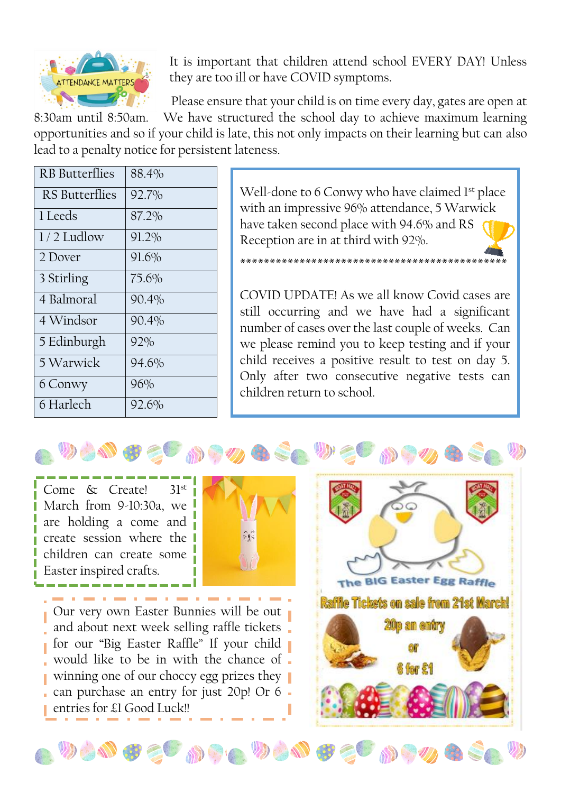

It is important that children attend school EVERY DAY! Unless they are too ill or have COVID symptoms.

Please ensure that your child is on time every day, gates are open at

\*\*\*\*\*\*\*\*\*\*\*\*\*\*\*\*\*\*\*\*\*\*\*\*\*\*\*\*\*\*\*\*\*\*\*\*\*\*\*\*\*\*\*\*\*

8:30am until 8:50am. We have structured the school day to achieve maximum learning opportunities and so if your child is late, this not only impacts on their learning but can also lead to a penalty notice for persistent lateness.

| <b>RB</b> Butterflies | 88.4%    |
|-----------------------|----------|
| RS Butterflies        | 92.7%    |
| 1 Leeds               | 87.2%    |
| $1/2$ Ludlow          | 91.2%    |
| 2 Dover               | 91.6%    |
| 3 Stirling            | 75.6%    |
| 4 Balmoral            | 90.4%    |
| 4 Windsor             | $90.4\%$ |
| 5 Edinburgh           | 92%      |
| 5 Warwick             | 94.6%    |
| 6 Conwy               | 96%      |
| 6 Harlech             | 92.6%    |

Well-done to 6 Conwy who have claimed 1<sup>st</sup> place with an impressive 96% attendance, 5 Warwick have taken second place with 94.6% and RS Reception are in at third with 92%.

COVID UPDATE! As we all know Covid cases are still occurring and we have had a significant number of cases over the last couple of weeks. Can we please remind you to keep testing and if your child receives a positive result to test on day 5. Only after two consecutive negative tests can children return to school.

Come & Create! 31st March from 9-10:30a, we are holding a come and create session where the children can create some Easter inspired crafts.

 $\overline{a}$ 



 $\mathcal{D} \subset \mathcal{D}$  of  $\mathcal{D} \subset \mathcal{D}$ 

Our very own Easter Bunnies will be out and about next week selling raffle tickets for our "Big Easter Raffle" If your child would like to be in with the chance of winning one of our choccy egg prizes they can purchase an entry for just 20p! Or 6 entries for £1 Good Luck!!